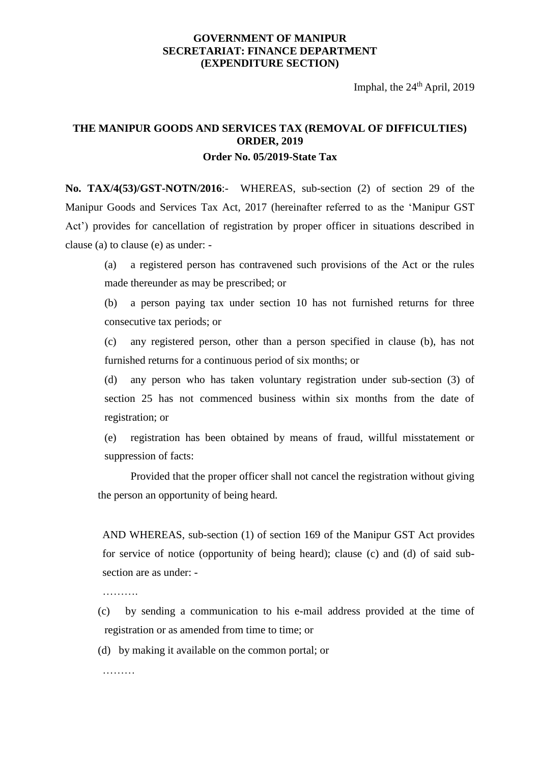## **GOVERNMENT OF MANIPUR SECRETARIAT: FINANCE DEPARTMENT (EXPENDITURE SECTION)**

Imphal, the 24<sup>th</sup> April, 2019

## **THE MANIPUR GOODS AND SERVICES TAX (REMOVAL OF DIFFICULTIES) ORDER, 2019 Order No. 05/2019-State Tax**

**No. TAX/4(53)/GST-NOTN/2016**:- WHEREAS, sub-section (2) of section 29 of the Manipur Goods and Services Tax Act, 2017 (hereinafter referred to as the 'Manipur GST Act') provides for cancellation of registration by proper officer in situations described in clause (a) to clause (e) as under: -

(a) a registered person has contravened such provisions of the Act or the rules made thereunder as may be prescribed; or

(b) a person paying tax under section 10 has not furnished returns for three consecutive tax periods; or

(c) any registered person, other than a person specified in clause (b), has not furnished returns for a continuous period of six months; or

(d) any person who has taken voluntary registration under sub-section (3) of section 25 has not commenced business within six months from the date of registration; or

(e) registration has been obtained by means of fraud, willful misstatement or suppression of facts:

Provided that the proper officer shall not cancel the registration without giving the person an opportunity of being heard.

AND WHEREAS, sub-section (1) of section 169 of the Manipur GST Act provides for service of notice (opportunity of being heard); clause (c) and (d) of said subsection are as under: -

………

- (c) by sending a communication to his e-mail address provided at the time of registration or as amended from time to time; or
- (d) by making it available on the common portal; or

………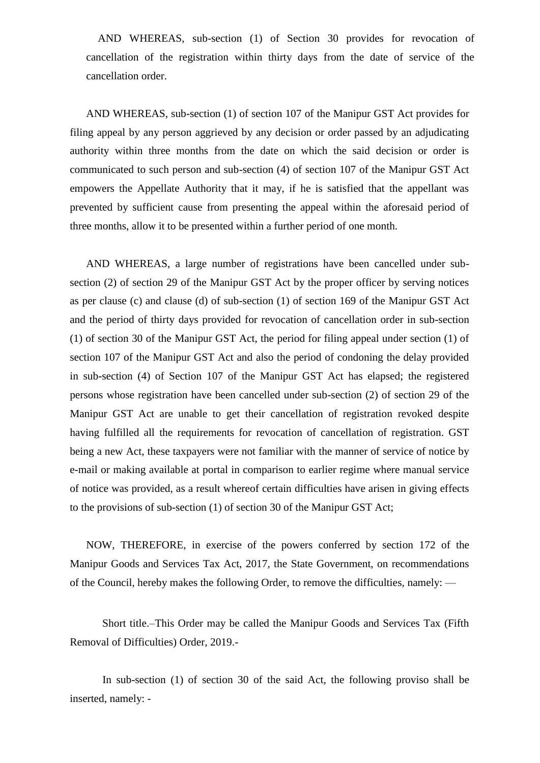AND WHEREAS, sub-section (1) of Section 30 provides for revocation of cancellation of the registration within thirty days from the date of service of the cancellation order.

AND WHEREAS, sub-section (1) of section 107 of the Manipur GST Act provides for filing appeal by any person aggrieved by any decision or order passed by an adjudicating authority within three months from the date on which the said decision or order is communicated to such person and sub-section (4) of section 107 of the Manipur GST Act empowers the Appellate Authority that it may, if he is satisfied that the appellant was prevented by sufficient cause from presenting the appeal within the aforesaid period of three months, allow it to be presented within a further period of one month.

AND WHEREAS, a large number of registrations have been cancelled under subsection (2) of section 29 of the Manipur GST Act by the proper officer by serving notices as per clause (c) and clause (d) of sub-section (1) of section 169 of the Manipur GST Act and the period of thirty days provided for revocation of cancellation order in sub-section (1) of section 30 of the Manipur GST Act, the period for filing appeal under section (1) of section 107 of the Manipur GST Act and also the period of condoning the delay provided in sub-section (4) of Section 107 of the Manipur GST Act has elapsed; the registered persons whose registration have been cancelled under sub-section (2) of section 29 of the Manipur GST Act are unable to get their cancellation of registration revoked despite having fulfilled all the requirements for revocation of cancellation of registration. GST being a new Act, these taxpayers were not familiar with the manner of service of notice by e-mail or making available at portal in comparison to earlier regime where manual service of notice was provided, as a result whereof certain difficulties have arisen in giving effects to the provisions of sub-section (1) of section 30 of the Manipur GST Act;

NOW, THEREFORE, in exercise of the powers conferred by section 172 of the Manipur Goods and Services Tax Act, 2017, the State Government, on recommendations of the Council, hereby makes the following Order, to remove the difficulties, namely: ––

Short title.–This Order may be called the Manipur Goods and Services Tax (Fifth Removal of Difficulties) Order, 2019.-

In sub-section (1) of section 30 of the said Act, the following proviso shall be inserted, namely: -